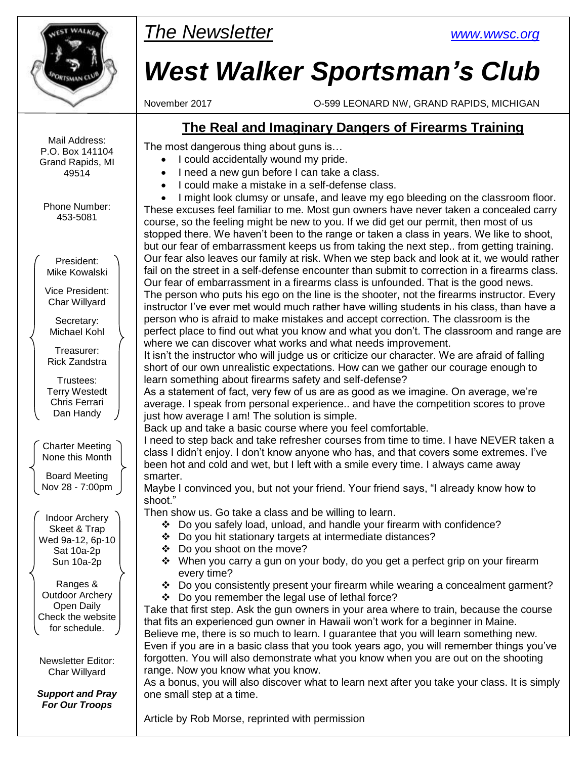

*The Newsletter [www.wwsc.org](file:///C:/WWSC/Newsletter/www.wwsc.org)*

# *West Walker Sportsman's Club*

November 2017 O-599 LEONARD NW, GRAND RAPIDS, MICHIGAN

# **The Real and Imaginary Dangers of Firearms Training**

The most dangerous thing about guns is…

- I could accidentally wound my pride.
	- I need a new gun before I can take a class.
	- I could make a mistake in a self-defense class.

 I might look clumsy or unsafe, and leave my ego bleeding on the classroom floor. These excuses feel familiar to me. Most gun owners have never taken a concealed carry course, so the feeling might be new to you. If we did get our permit, then most of us stopped there. We haven't been to the range or taken a class in years. We like to shoot, but our fear of embarrassment keeps us from taking the next step.. from getting training. Our fear also leaves our family at risk. When we step back and look at it, we would rather fail on the street in a self-defense encounter than submit to correction in a firearms class. Our fear of embarrassment in a firearms class is unfounded. That is the good news. The person who puts his ego on the line is the shooter, not the firearms instructor. Every instructor I've ever met would much rather have willing students in his class, than have a person who is afraid to make mistakes and accept correction. The classroom is the perfect place to find out what you know and what you don't. The classroom and range are where we can discover what works and what needs improvement.

It isn't the instructor who will judge us or criticize our character. We are afraid of falling short of our own unrealistic expectations. How can we gather our courage enough to learn something about firearms safety and self-defense?

As a statement of fact, very few of us are as good as we imagine. On average, we're average. I speak from personal experience.. and have the competition scores to prove just how average I am! The solution is simple.

Back up and take a basic course where you feel comfortable.

I need to step back and take refresher courses from time to time. I have NEVER taken a class I didn't enjoy. I don't know anyone who has, and that covers some extremes. I've been hot and cold and wet, but I left with a smile every time. I always came away smarter.

Maybe I convinced you, but not your friend. Your friend says, "I already know how to shoot."

Then show us. Go take a class and be willing to learn.

- Do you safely load, unload, and handle your firearm with confidence?
- Do you hit stationary targets at intermediate distances?
- Do you shoot on the move?
- $\div$  When you carry a gun on your body, do you get a perfect grip on your firearm every time?
- $\div$  Do you consistently present your firearm while wearing a concealment garment?
- Do you remember the legal use of lethal force?

Take that first step. Ask the gun owners in your area where to train, because the course that fits an experienced gun owner in Hawaii won't work for a beginner in Maine. Believe me, there is so much to learn. I guarantee that you will learn something new. Even if you are in a basic class that you took years ago, you will remember things you've forgotten. You will also demonstrate what you know when you are out on the shooting range. Now you know what you know.

As a bonus, you will also discover what to learn next after you take your class. It is simply one small step at a time.

Article by Rob Morse, reprinted with permission

Mail Address: P.O. Box 141104 Grand Rapids, MI 49514

Phone Number: 453-5081

President: Mike Kowalski

Vice President: Char Willyard

Secretary: Michael Kohl

Treasurer: Rick Zandstra

Trustees: Terry Westedt Chris Ferrari Dan Handy

Charter Meeting None this Month

Board Meeting Nov 28 - 7:00pm

Indoor Archery Skeet & Trap Wed 9a-12, 6p-10 Sat 10a-2p Sun 10a-2p

Ranges & Outdoor Archery Open Daily Check the website for schedule.

Newsletter Editor: Char Willyard

*Support and Pray For Our Troops*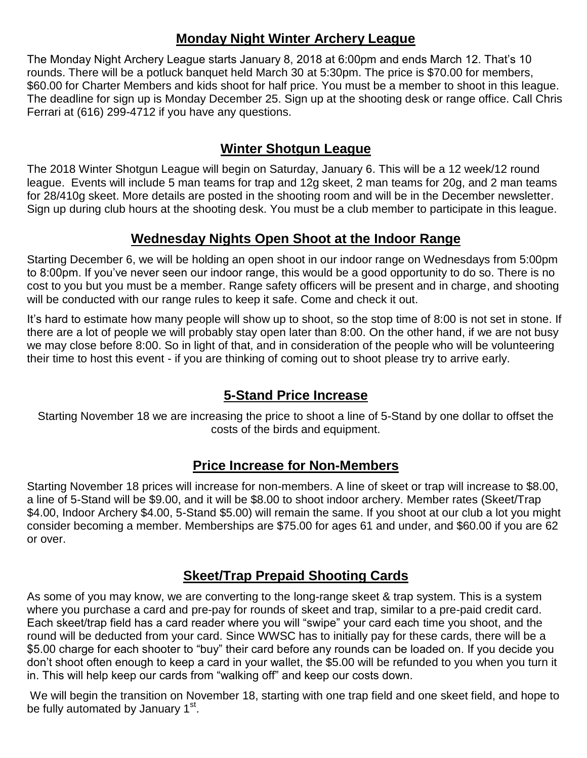## **Monday Night Winter Archery League**

The Monday Night Archery League starts January 8, 2018 at 6:00pm and ends March 12. That's 10 rounds. There will be a potluck banquet held March 30 at 5:30pm. The price is \$70.00 for members, \$60.00 for Charter Members and kids shoot for half price. You must be a member to shoot in this league. The deadline for sign up is Monday December 25. Sign up at the shooting desk or range office. Call Chris Ferrari at (616) 299-4712 if you have any questions.

## **Winter Shotgun League**

The 2018 Winter Shotgun League will begin on Saturday, January 6. This will be a 12 week/12 round league. Events will include 5 man teams for trap and 12g skeet, 2 man teams for 20g, and 2 man teams for 28/410g skeet. More details are posted in the shooting room and will be in the December newsletter. Sign up during club hours at the shooting desk. You must be a club member to participate in this league.

## **Wednesday Nights Open Shoot at the Indoor Range**

Starting December 6, we will be holding an open shoot in our indoor range on Wednesdays from 5:00pm to 8:00pm. If you've never seen our indoor range, this would be a good opportunity to do so. There is no cost to you but you must be a member. Range safety officers will be present and in charge, and shooting will be conducted with our range rules to keep it safe. Come and check it out.

It's hard to estimate how many people will show up to shoot, so the stop time of 8:00 is not set in stone. If there are a lot of people we will probably stay open later than 8:00. On the other hand, if we are not busy we may close before 8:00. So in light of that, and in consideration of the people who will be volunteering their time to host this event - if you are thinking of coming out to shoot please try to arrive early.

# **5-Stand Price Increase**

Starting November 18 we are increasing the price to shoot a line of 5-Stand by one dollar to offset the costs of the birds and equipment.

#### **Price Increase for Non-Members**

Starting November 18 prices will increase for non-members. A line of skeet or trap will increase to \$8.00, a line of 5-Stand will be \$9.00, and it will be \$8.00 to shoot indoor archery. Member rates (Skeet/Trap \$4.00, Indoor Archery \$4.00, 5-Stand \$5.00) will remain the same. If you shoot at our club a lot you might consider becoming a member. Memberships are \$75.00 for ages 61 and under, and \$60.00 if you are 62 or over.

# **Skeet/Trap Prepaid Shooting Cards**

As some of you may know, we are converting to the long-range skeet & trap system. This is a system where you purchase a card and pre-pay for rounds of skeet and trap, similar to a pre-paid credit card. Each skeet/trap field has a card reader where you will "swipe" your card each time you shoot, and the round will be deducted from your card. Since WWSC has to initially pay for these cards, there will be a \$5.00 charge for each shooter to "buy" their card before any rounds can be loaded on. If you decide you don't shoot often enough to keep a card in your wallet, the \$5.00 will be refunded to you when you turn it in. This will help keep our cards from "walking off" and keep our costs down.

We will begin the transition on November 18, starting with one trap field and one skeet field, and hope to be fully automated by January 1<sup>st</sup>.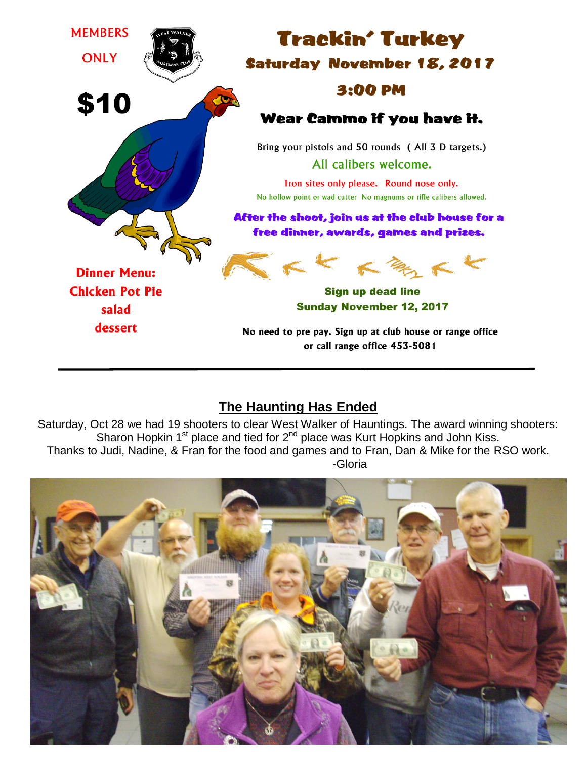

# **The Haunting Has Ended**

Saturday, Oct 28 we had 19 shooters to clear West Walker of Hauntings. The award winning shooters: Sharon Hopkin  $1<sup>st</sup>$  place and tied for  $2<sup>nd</sup>$  place was Kurt Hopkins and John Kiss. Thanks to Judi, Nadine, & Fran for the food and games and to Fran, Dan & Mike for the RSO work. -Gloria

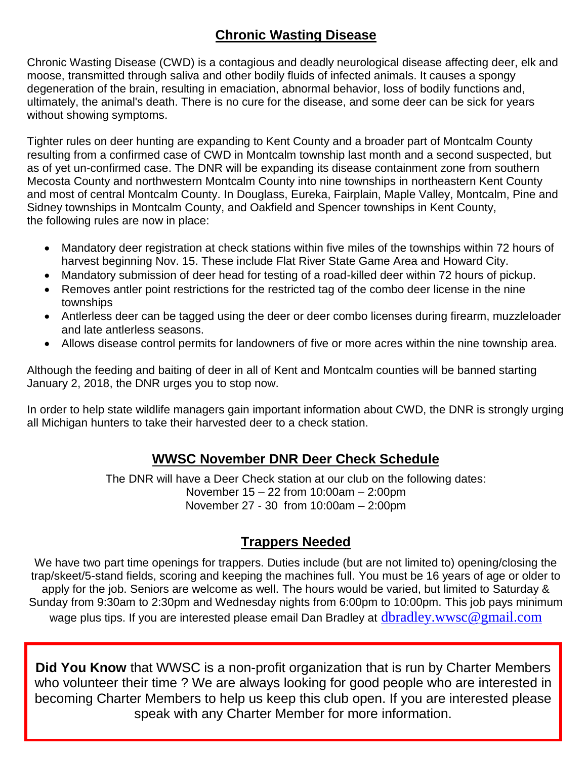# **Chronic Wasting Disease**

Chronic Wasting Disease (CWD) is a contagious and deadly neurological disease affecting deer, elk and moose, transmitted through saliva and other bodily fluids of infected animals. It causes a spongy degeneration of the brain, resulting in emaciation, abnormal behavior, loss of bodily functions and, ultimately, the animal's death. There is no cure for the disease, and some deer can be sick for years without showing symptoms.

Tighter rules on deer hunting are expanding to Kent County and a broader part of Montcalm County resulting from a confirmed case of CWD in Montcalm township last month and a second suspected, but as of yet un-confirmed case. The DNR will be expanding its disease containment zone from southern Mecosta County and northwestern Montcalm County into nine townships in northeastern Kent County and most of central Montcalm County. In Douglass, Eureka, Fairplain, Maple Valley, Montcalm, Pine and Sidney townships in Montcalm County, and Oakfield and Spencer townships in Kent County, the following rules are now in place:

- Mandatory deer registration at check stations within five miles of the townships within 72 hours of harvest beginning Nov. 15. These include Flat River State Game Area and Howard City.
- Mandatory submission of deer head for testing of a road-killed deer within 72 hours of pickup.
- Removes antler point restrictions for the restricted tag of the combo deer license in the nine townships
- Antlerless deer can be tagged using the deer or deer combo licenses during firearm, muzzleloader and late antlerless seasons.
- Allows disease control permits for landowners of five or more acres within the nine township area.

Although the feeding and baiting of deer in all of Kent and Montcalm counties will be banned starting January 2, 2018, the DNR urges you to stop now.

In order to help state wildlife managers gain important information about CWD, the DNR is strongly urging all Michigan hunters to take their harvested deer to a check station.

#### **WWSC November DNR Deer Check Schedule**

The DNR will have a Deer Check station at our club on the following dates: November 15 – 22 from 10:00am – 2:00pm November 27 - 30 from 10:00am – 2:00pm

#### **Trappers Needed**

We have two part time openings for trappers. Duties include (but are not limited to) opening/closing the trap/skeet/5-stand fields, scoring and keeping the machines full. You must be 16 years of age or older to apply for the job. Seniors are welcome as well. The hours would be varied, but limited to Saturday & Sunday from 9:30am to 2:30pm and Wednesday nights from 6:00pm to 10:00pm. This job pays minimum wage plus tips. If you are interested please email Dan Bradley at [dbradley.wwsc@gmail.com](mailto:dbradley.wwsc@gmail.com)

**Did You Know** that WWSC is a non-profit organization that is run by Charter Members who volunteer their time ? We are always looking for good people who are interested in becoming Charter Members to help us keep this club open. If you are interested please speak with any Charter Member for more information.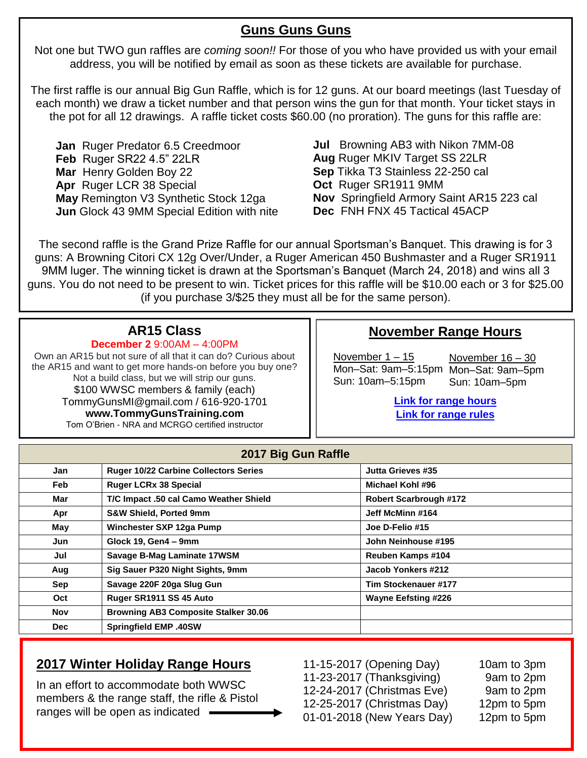## **Guns Guns Guns**

Not one but TWO gun raffles are *coming soon!!* For those of you who have provided us with your email address, you will be notified by email as soon as these tickets are available for purchase.

The first raffle is our annual Big Gun Raffle, which is for 12 guns. At our board meetings (last Tuesday of each month) we draw a ticket number and that person wins the gun for that month. Your ticket stays in the pot for all 12 drawings. A raffle ticket costs \$60.00 (no proration). The guns for this raffle are:

**Jan** Ruger Predator 6.5 Creedmoor **Feb** Ruger SR22 4.5" 22LR **Mar** Henry Golden Boy 22 **Apr** Ruger LCR 38 Special **May** Remington V3 Synthetic Stock 12ga **Jun** Glock 43 9MM Special Edition with nite **Jul** Browning AB3 with Nikon 7MM-08 **Aug** Ruger MKIV Target SS 22LR **Sep** Tikka T3 Stainless 22-250 cal **Oct** Ruger SR1911 9MM **Nov** Springfield Armory Saint AR15 223 cal **Dec** FNH FNX 45 Tactical 45ACP

The second raffle is the Grand Prize Raffle for our annual Sportsman's Banquet. This drawing is for 3 guns: A Browning Citori CX 12g Over/Under, a Ruger American 450 Bushmaster and a Ruger SR1911 9MM luger. The winning ticket is drawn at the Sportsman's Banquet (March 24, 2018) and wins all 3 guns. You do not need to be present to win. Ticket prices for this raffle will be \$10.00 each or 3 for \$25.00 (if you purchase 3/\$25 they must all be for the same person).

# **AR15 Class**

**December 2** 9:00AM – 4:00PM

Own an AR15 but not sure of all that it can do? Curious about the AR15 and want to get more hands-on before you buy one? Not a build class, but we will strip our guns. \$100 WWSC members & family (each) TommyGunsMI@gmail.com / 616-920-1701 **www.TommyGunsTraining.com** Tom O'Brien - NRA and MCRGO certified instructor

# **November Range Hours**

November 1 – 15 Mon–Sat: 9am–5:15pm Mon–Sat: 9am–5pm Sun: 10am–5:15pm

November 16 – 30 Sun: 10am–5pm

**[Link for range hours](http://www.wwsc.org/range-hours.shtml) [Link for range rules](http://www.wwsc.org/img/ranges/RangeRules.pdf)**

| 2017 Big Gun Raffle |                                              |                               |  |  |  |  |
|---------------------|----------------------------------------------|-------------------------------|--|--|--|--|
| Jan                 | <b>Ruger 10/22 Carbine Collectors Series</b> | Jutta Grieves #35             |  |  |  |  |
| <b>Feb</b>          | <b>Ruger LCRx 38 Special</b>                 | Michael Kohl #96              |  |  |  |  |
| Mar                 | T/C Impact .50 cal Camo Weather Shield       | <b>Robert Scarbrough #172</b> |  |  |  |  |
| Apr                 | <b>S&amp;W Shield, Ported 9mm</b>            | Jeff McMinn #164              |  |  |  |  |
| May                 | Winchester SXP 12ga Pump                     | Joe D-Felio #15               |  |  |  |  |
| Jun                 | Glock 19, Gen4 - 9mm                         | John Neinhouse #195           |  |  |  |  |
| Jul                 | Savage B-Mag Laminate 17WSM                  | Reuben Kamps #104             |  |  |  |  |
| Aug                 | Sig Sauer P320 Night Sights, 9mm             | Jacob Yonkers #212            |  |  |  |  |
| Sep                 | Savage 220F 20ga Slug Gun                    | Tim Stockenauer #177          |  |  |  |  |
| Oct                 | Ruger SR1911 SS 45 Auto                      | <b>Wayne Eefsting #226</b>    |  |  |  |  |
| <b>Nov</b>          | <b>Browning AB3 Composite Stalker 30.06</b>  |                               |  |  |  |  |
| <b>Dec</b>          | <b>Springfield EMP .40SW</b>                 |                               |  |  |  |  |

# **2017 Winter Holiday Range Hours**

In an effort to accommodate both WWSC members & the range staff, the rifle & Pistol ranges will be open as indicated

11-15-2017 (Opening Day) 10am to 3pm 11-23-2017 (Thanksgiving) 9am to 2pm 12-24-2017 (Christmas Eve) 9am to 2pm 12-25-2017 (Christmas Day) 12pm to 5pm 01-01-2018 (New Years Day) 12pm to 5pm